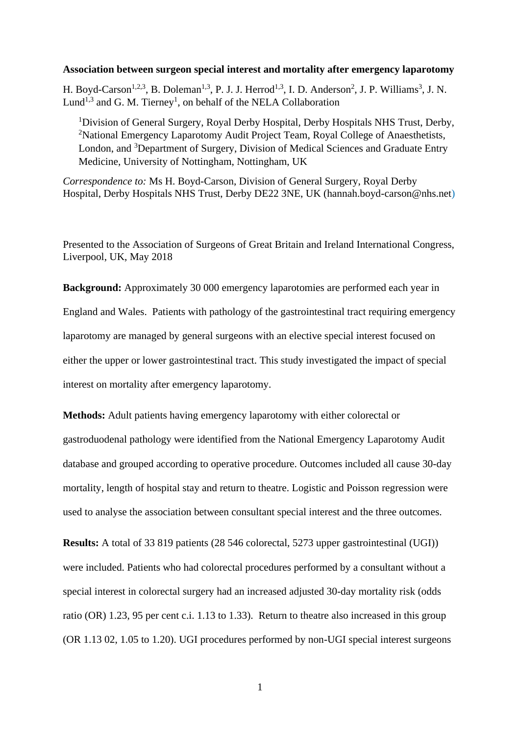#### **Association between surgeon special interest and mortality after emergency laparotomy**

H. Boyd-Carson<sup>1,2,3</sup>, B. Doleman<sup>1,3</sup>, P. J. J. Herrod<sup>1,3</sup>, I. D. Anderson<sup>2</sup>, J. P. Williams<sup>3</sup>, J. N. Lund<sup>1,3</sup> and G. M. Tierney<sup>1</sup>, on behalf of the NELA Collaboration

<sup>1</sup>Division of General Surgery, Royal Derby Hospital, Derby Hospitals NHS Trust, Derby, <sup>2</sup>National Emergency Laparotomy Audit Project Team, Royal College of Anaesthetists, London, and <sup>3</sup>Department of Surgery, Division of Medical Sciences and Graduate Entry Medicine, University of Nottingham, Nottingham, UK

*Correspondence to:* Ms H. Boyd-Carson, Division of General Surgery, Royal Derby Hospital, Derby Hospitals NHS Trust, Derby DE22 3NE, UK (hannah.boyd-carson@nhs.net)

Presented to the Association of Surgeons of Great Britain and Ireland International Congress, Liverpool, UK, May 2018

**Background:** Approximately 30 000 emergency laparotomies are performed each year in England and Wales. Patients with pathology of the gastrointestinal tract requiring emergency laparotomy are managed by general surgeons with an elective special interest focused on either the upper or lower gastrointestinal tract. This study investigated the impact of special interest on mortality after emergency laparotomy.

**Methods:** Adult patients having emergency laparotomy with either colorectal or gastroduodenal pathology were identified from the National Emergency Laparotomy Audit database and grouped according to operative procedure. Outcomes included all cause 30-day mortality, length of hospital stay and return to theatre. Logistic and Poisson regression were used to analyse the association between consultant special interest and the three outcomes.

**Results:** A total of 33 819 patients (28 546 colorectal, 5273 upper gastrointestinal (UGI)) were included. Patients who had colorectal procedures performed by a consultant without a special interest in colorectal surgery had an increased adjusted 30-day mortality risk (odds ratio (OR) 1.23, 95 per cent c.i. 1.13 to 1.33). Return to theatre also increased in this group (OR 1.13 02, 1.05 to 1.20). UGI procedures performed by non-UGI special interest surgeons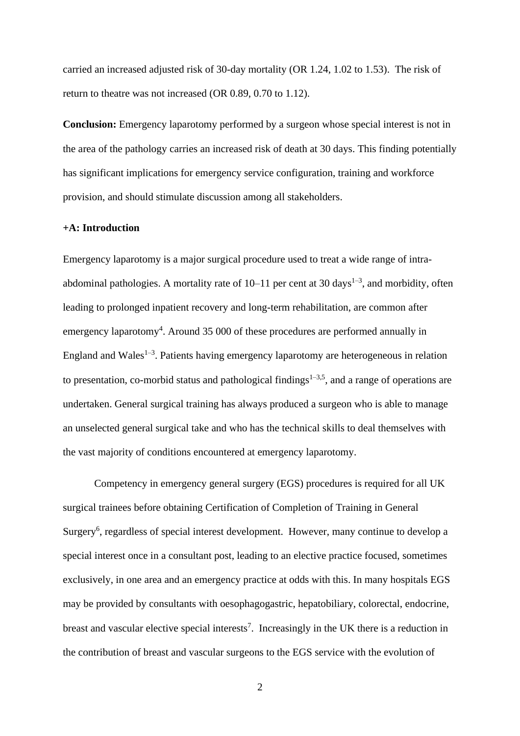carried an increased adjusted risk of 30-day mortality (OR 1.24, 1.02 to 1.53). The risk of return to theatre was not increased (OR 0.89, 0.70 to 1.12).

**Conclusion:** Emergency laparotomy performed by a surgeon whose special interest is not in the area of the pathology carries an increased risk of death at 30 days. This finding potentially has significant implications for emergency service configuration, training and workforce provision, and should stimulate discussion among all stakeholders.

### **+A: Introduction**

Emergency laparotomy is a major surgical procedure used to treat a wide range of intraabdominal pathologies. A mortality rate of  $10-11$  per cent at 30 days<sup>1-3</sup>, and morbidity, often leading to prolonged inpatient recovery and long-term rehabilitation, are common after emergency laparotomy<sup>4</sup>. Around 35 000 of these procedures are performed annually in England and Wales $1-3$ . Patients having emergency laparotomy are heterogeneous in relation to presentation, co-morbid status and pathological findings<sup>1–3,5</sup>, and a range of operations are undertaken. General surgical training has always produced a surgeon who is able to manage an unselected general surgical take and who has the technical skills to deal themselves with the vast majority of conditions encountered at emergency laparotomy.

Competency in emergency general surgery (EGS) procedures is required for all UK surgical trainees before obtaining Certification of Completion of Training in General Surgery<sup>6</sup>, regardless of special interest development. However, many continue to develop a special interest once in a consultant post, leading to an elective practice focused, sometimes exclusively, in one area and an emergency practice at odds with this. In many hospitals EGS may be provided by consultants with oesophagogastric, hepatobiliary, colorectal, endocrine, breast and vascular elective special interests<sup>7</sup>. Increasingly in the UK there is a reduction in the contribution of breast and vascular surgeons to the EGS service with the evolution of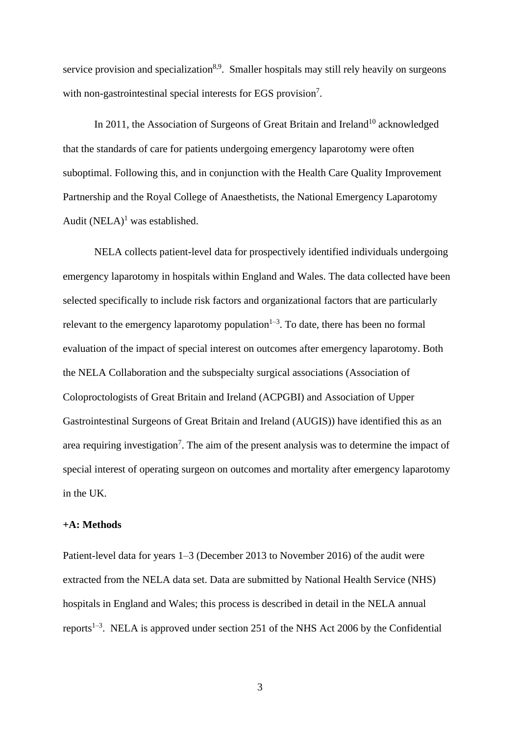service provision and specialization<sup>8,9</sup>. Smaller hospitals may still rely heavily on surgeons with non-gastrointestinal special interests for EGS provision<sup>7</sup>.

In 2011, the Association of Surgeons of Great Britain and Ireland<sup>10</sup> acknowledged that the standards of care for patients undergoing emergency laparotomy were often suboptimal. Following this, and in conjunction with the Health Care Quality Improvement Partnership and the Royal College of Anaesthetists, the National Emergency Laparotomy Audit  $(NELA)^1$  was established.

NELA collects patient-level data for prospectively identified individuals undergoing emergency laparotomy in hospitals within England and Wales. The data collected have been selected specifically to include risk factors and organizational factors that are particularly relevant to the emergency laparotomy population $1-3$ . To date, there has been no formal evaluation of the impact of special interest on outcomes after emergency laparotomy. Both the NELA Collaboration and the subspecialty surgical associations (Association of Coloproctologists of Great Britain and Ireland (ACPGBI) and Association of Upper Gastrointestinal Surgeons of Great Britain and Ireland (AUGIS)) have identified this as an area requiring investigation<sup>7</sup>. The aim of the present analysis was to determine the impact of special interest of operating surgeon on outcomes and mortality after emergency laparotomy in the UK.

#### **+A: Methods**

Patient-level data for years 1–3 (December 2013 to November 2016) of the audit were extracted from the NELA data set. Data are submitted by National Health Service (NHS) hospitals in England and Wales; this process is described in detail in the NELA annual reports<sup>1-3</sup>. NELA is approved under section 251 of the NHS Act 2006 by the Confidential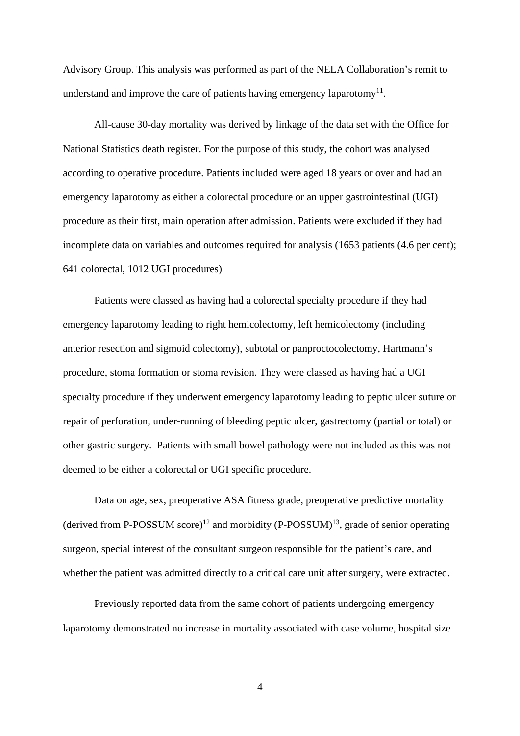Advisory Group. This analysis was performed as part of the NELA Collaboration's remit to understand and improve the care of patients having emergency laparotomy $^{11}$ .

All-cause 30-day mortality was derived by linkage of the data set with the Office for National Statistics death register. For the purpose of this study, the cohort was analysed according to operative procedure. Patients included were aged 18 years or over and had an emergency laparotomy as either a colorectal procedure or an upper gastrointestinal (UGI) procedure as their first, main operation after admission. Patients were excluded if they had incomplete data on variables and outcomes required for analysis (1653 patients (4.6 per cent); 641 colorectal, 1012 UGI procedures)

Patients were classed as having had a colorectal specialty procedure if they had emergency laparotomy leading to right hemicolectomy, left hemicolectomy (including anterior resection and sigmoid colectomy), subtotal or panproctocolectomy, Hartmann's procedure, stoma formation or stoma revision. They were classed as having had a UGI specialty procedure if they underwent emergency laparotomy leading to peptic ulcer suture or repair of perforation, under-running of bleeding peptic ulcer, gastrectomy (partial or total) or other gastric surgery. Patients with small bowel pathology were not included as this was not deemed to be either a colorectal or UGI specific procedure.

Data on age, sex, preoperative ASA fitness grade, preoperative predictive mortality (derived from P-POSSUM score)<sup>12</sup> and morbidity (P-POSSUM)<sup>13</sup>, grade of senior operating surgeon, special interest of the consultant surgeon responsible for the patient's care, and whether the patient was admitted directly to a critical care unit after surgery, were extracted.

Previously reported data from the same cohort of patients undergoing emergency laparotomy demonstrated no increase in mortality associated with case volume, hospital size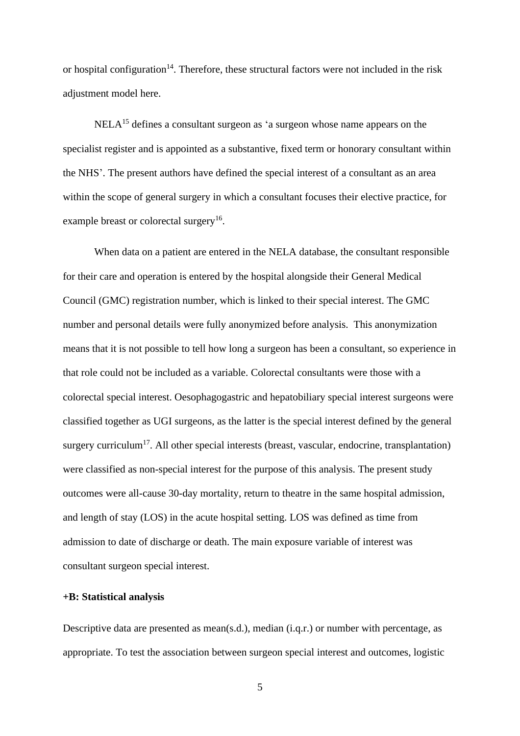or hospital configuration<sup>14</sup>. Therefore, these structural factors were not included in the risk adjustment model here.

 $NELA<sup>15</sup>$  defines a consultant surgeon as 'a surgeon whose name appears on the specialist register and is appointed as a substantive, fixed term or honorary consultant within the NHS'. The present authors have defined the special interest of a consultant as an area within the scope of general surgery in which a consultant focuses their elective practice, for example breast or colorectal surgery<sup>16</sup>.

When data on a patient are entered in the NELA database, the consultant responsible for their care and operation is entered by the hospital alongside their General Medical Council (GMC) registration number, which is linked to their special interest. The GMC number and personal details were fully anonymized before analysis. This anonymization means that it is not possible to tell how long a surgeon has been a consultant, so experience in that role could not be included as a variable. Colorectal consultants were those with a colorectal special interest. Oesophagogastric and hepatobiliary special interest surgeons were classified together as UGI surgeons, as the latter is the special interest defined by the general surgery curriculum<sup>17</sup>. All other special interests (breast, vascular, endocrine, transplantation) were classified as non-special interest for the purpose of this analysis. The present study outcomes were all-cause 30-day mortality, return to theatre in the same hospital admission, and length of stay (LOS) in the acute hospital setting. LOS was defined as time from admission to date of discharge or death. The main exposure variable of interest was consultant surgeon special interest.

#### **+B: Statistical analysis**

Descriptive data are presented as mean(s.d.), median (i.q.r.) or number with percentage, as appropriate. To test the association between surgeon special interest and outcomes, logistic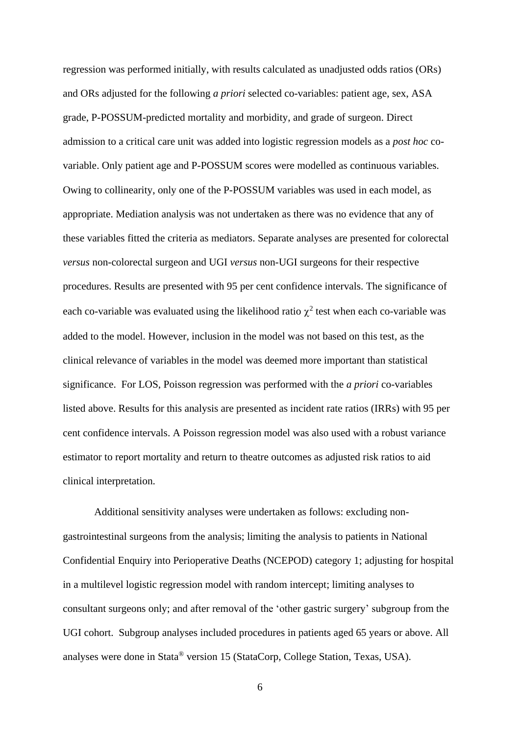regression was performed initially, with results calculated as unadjusted odds ratios (ORs) and ORs adjusted for the following *a priori* selected co-variables: patient age, sex, ASA grade, P-POSSUM-predicted mortality and morbidity, and grade of surgeon. Direct admission to a critical care unit was added into logistic regression models as a *post hoc* covariable. Only patient age and P-POSSUM scores were modelled as continuous variables. Owing to collinearity, only one of the P-POSSUM variables was used in each model, as appropriate. Mediation analysis was not undertaken as there was no evidence that any of these variables fitted the criteria as mediators. Separate analyses are presented for colorectal *versus* non-colorectal surgeon and UGI *versus* non-UGI surgeons for their respective procedures. Results are presented with 95 per cent confidence intervals. The significance of each co-variable was evaluated using the likelihood ratio  $\chi^2$  test when each co-variable was added to the model. However, inclusion in the model was not based on this test, as the clinical relevance of variables in the model was deemed more important than statistical significance. For LOS, Poisson regression was performed with the *a priori* co-variables listed above. Results for this analysis are presented as incident rate ratios (IRRs) with 95 per cent confidence intervals. A Poisson regression model was also used with a robust variance estimator to report mortality and return to theatre outcomes as adjusted risk ratios to aid clinical interpretation.

Additional sensitivity analyses were undertaken as follows: excluding nongastrointestinal surgeons from the analysis; limiting the analysis to patients in National Confidential Enquiry into Perioperative Deaths (NCEPOD) category 1; adjusting for hospital in a multilevel logistic regression model with random intercept; limiting analyses to consultant surgeons only; and after removal of the 'other gastric surgery' subgroup from the UGI cohort. Subgroup analyses included procedures in patients aged 65 years or above. All analyses were done in Stata® version 15 (StataCorp, College Station, Texas, USA).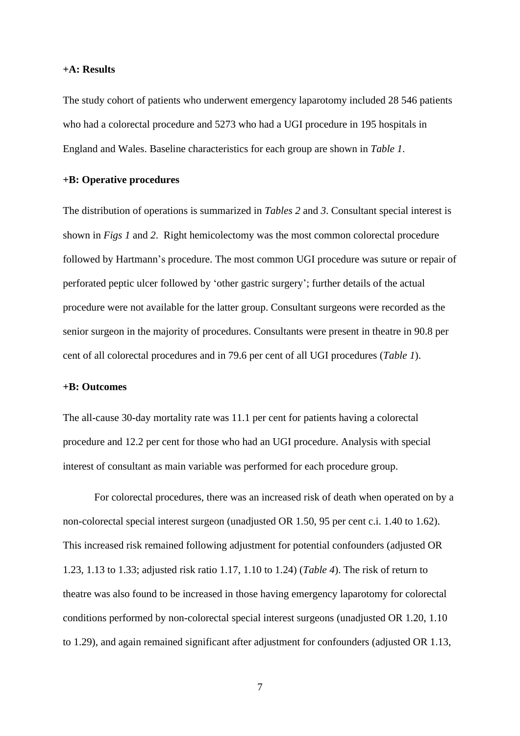#### **+A: Results**

The study cohort of patients who underwent emergency laparotomy included 28 546 patients who had a colorectal procedure and 5273 who had a UGI procedure in 195 hospitals in England and Wales. Baseline characteristics for each group are shown in *Table 1*.

### **+B: Operative procedures**

The distribution of operations is summarized in *Tables 2* and *3*. Consultant special interest is shown in *Figs 1* and *2*. Right hemicolectomy was the most common colorectal procedure followed by Hartmann's procedure. The most common UGI procedure was suture or repair of perforated peptic ulcer followed by 'other gastric surgery'; further details of the actual procedure were not available for the latter group. Consultant surgeons were recorded as the senior surgeon in the majority of procedures. Consultants were present in theatre in 90.8 per cent of all colorectal procedures and in 79.6 per cent of all UGI procedures (*Table 1*).

#### **+B: Outcomes**

The all-cause 30-day mortality rate was 11.1 per cent for patients having a colorectal procedure and 12.2 per cent for those who had an UGI procedure. Analysis with special interest of consultant as main variable was performed for each procedure group.

For colorectal procedures, there was an increased risk of death when operated on by a non-colorectal special interest surgeon (unadjusted OR 1.50, 95 per cent c.i. 1.40 to 1.62). This increased risk remained following adjustment for potential confounders (adjusted OR 1.23, 1.13 to 1.33; adjusted risk ratio 1.17, 1.10 to 1.24) (*Table 4*). The risk of return to theatre was also found to be increased in those having emergency laparotomy for colorectal conditions performed by non-colorectal special interest surgeons (unadjusted OR 1.20, 1.10 to 1.29), and again remained significant after adjustment for confounders (adjusted OR 1.13,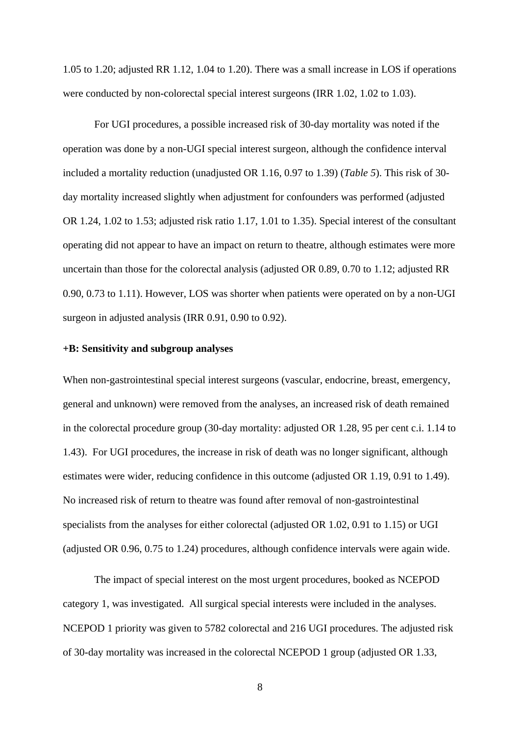1.05 to 1.20; adjusted RR 1.12, 1.04 to 1.20). There was a small increase in LOS if operations were conducted by non-colorectal special interest surgeons (IRR 1.02, 1.02 to 1.03).

For UGI procedures, a possible increased risk of 30-day mortality was noted if the operation was done by a non-UGI special interest surgeon, although the confidence interval included a mortality reduction (unadjusted OR 1.16, 0.97 to 1.39) (*Table 5*). This risk of 30 day mortality increased slightly when adjustment for confounders was performed (adjusted OR 1.24, 1.02 to 1.53; adjusted risk ratio 1.17, 1.01 to 1.35). Special interest of the consultant operating did not appear to have an impact on return to theatre, although estimates were more uncertain than those for the colorectal analysis (adjusted OR 0.89, 0.70 to 1.12; adjusted RR 0.90, 0.73 to 1.11). However, LOS was shorter when patients were operated on by a non-UGI surgeon in adjusted analysis (IRR 0.91, 0.90 to 0.92).

#### **+B: Sensitivity and subgroup analyses**

When non-gastrointestinal special interest surgeons (vascular, endocrine, breast, emergency, general and unknown) were removed from the analyses, an increased risk of death remained in the colorectal procedure group (30-day mortality: adjusted OR 1.28, 95 per cent c.i. 1.14 to 1.43). For UGI procedures, the increase in risk of death was no longer significant, although estimates were wider, reducing confidence in this outcome (adjusted OR 1.19, 0.91 to 1.49). No increased risk of return to theatre was found after removal of non-gastrointestinal specialists from the analyses for either colorectal (adjusted OR 1.02, 0.91 to 1.15) or UGI (adjusted OR 0.96, 0.75 to 1.24) procedures, although confidence intervals were again wide.

The impact of special interest on the most urgent procedures, booked as NCEPOD category 1, was investigated. All surgical special interests were included in the analyses. NCEPOD 1 priority was given to 5782 colorectal and 216 UGI procedures. The adjusted risk of 30-day mortality was increased in the colorectal NCEPOD 1 group (adjusted OR 1.33,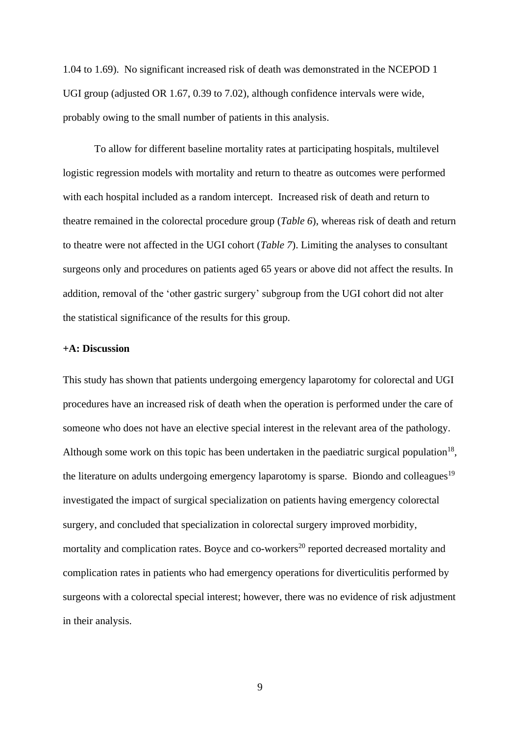1.04 to 1.69). No significant increased risk of death was demonstrated in the NCEPOD 1 UGI group (adjusted OR 1.67, 0.39 to 7.02), although confidence intervals were wide, probably owing to the small number of patients in this analysis.

To allow for different baseline mortality rates at participating hospitals, multilevel logistic regression models with mortality and return to theatre as outcomes were performed with each hospital included as a random intercept. Increased risk of death and return to theatre remained in the colorectal procedure group (*Table 6*), whereas risk of death and return to theatre were not affected in the UGI cohort (*Table 7*). Limiting the analyses to consultant surgeons only and procedures on patients aged 65 years or above did not affect the results. In addition, removal of the 'other gastric surgery' subgroup from the UGI cohort did not alter the statistical significance of the results for this group.

#### **+A: Discussion**

This study has shown that patients undergoing emergency laparotomy for colorectal and UGI procedures have an increased risk of death when the operation is performed under the care of someone who does not have an elective special interest in the relevant area of the pathology. Although some work on this topic has been undertaken in the paediatric surgical population<sup>18</sup>, the literature on adults undergoing emergency laparotomy is sparse. Biondo and colleagues<sup>19</sup> investigated the impact of surgical specialization on patients having emergency colorectal surgery, and concluded that specialization in colorectal surgery improved morbidity, mortality and complication rates. Boyce and co-workers<sup>20</sup> reported decreased mortality and complication rates in patients who had emergency operations for diverticulitis performed by surgeons with a colorectal special interest; however, there was no evidence of risk adjustment in their analysis.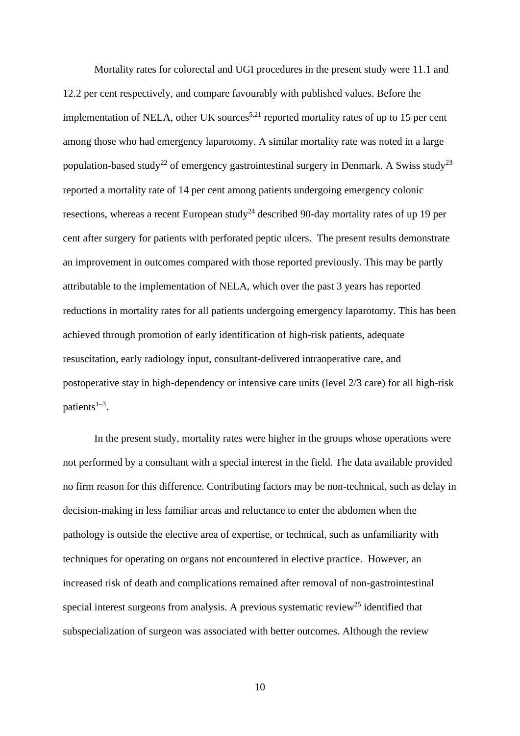Mortality rates for colorectal and UGI procedures in the present study were 11.1 and 12.2 per cent respectively, and compare favourably with published values. Before the implementation of NELA, other UK sources<sup>5,21</sup> reported mortality rates of up to 15 per cent among those who had emergency laparotomy. A similar mortality rate was noted in a large population-based study<sup>22</sup> of emergency gastrointestinal surgery in Denmark. A Swiss study<sup>23</sup> reported a mortality rate of 14 per cent among patients undergoing emergency colonic resections, whereas a recent European study<sup>24</sup> described 90-day mortality rates of up 19 per cent after surgery for patients with perforated peptic ulcers. The present results demonstrate an improvement in outcomes compared with those reported previously. This may be partly attributable to the implementation of NELA, which over the past 3 years has reported reductions in mortality rates for all patients undergoing emergency laparotomy. This has been achieved through promotion of early identification of high-risk patients, adequate resuscitation, early radiology input, consultant-delivered intraoperative care, and postoperative stay in high-dependency or intensive care units (level 2/3 care) for all high-risk patients $1-3$ .

In the present study, mortality rates were higher in the groups whose operations were not performed by a consultant with a special interest in the field. The data available provided no firm reason for this difference. Contributing factors may be non-technical, such as delay in decision-making in less familiar areas and reluctance to enter the abdomen when the pathology is outside the elective area of expertise, or technical, such as unfamiliarity with techniques for operating on organs not encountered in elective practice. However, an increased risk of death and complications remained after removal of non-gastrointestinal special interest surgeons from analysis. A previous systematic review<sup>25</sup> identified that subspecialization of surgeon was associated with better outcomes. Although the review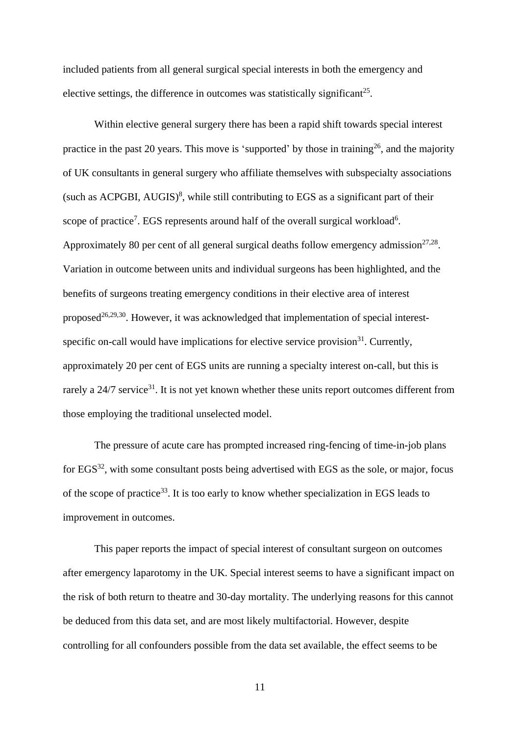included patients from all general surgical special interests in both the emergency and elective settings, the difference in outcomes was statistically significant<sup>25</sup>.

Within elective general surgery there has been a rapid shift towards special interest practice in the past 20 years. This move is 'supported' by those in training<sup>26</sup>, and the majority of UK consultants in general surgery who affiliate themselves with subspecialty associations (such as ACPGBI, AUGIS) 8 , while still contributing to EGS as a significant part of their scope of practice<sup>7</sup>. EGS represents around half of the overall surgical workload<sup>6</sup>. Approximately 80 per cent of all general surgical deaths follow emergency admission $27.28$ . Variation in outcome between units and individual surgeons has been highlighted, and the benefits of surgeons treating emergency conditions in their elective area of interest proposed<sup>26,29,30</sup>. However, it was acknowledged that implementation of special interestspecific on-call would have implications for elective service provision<sup>31</sup>. Currently, approximately 20 per cent of EGS units are running a specialty interest on-call, but this is rarely a 24/7 service<sup>31</sup>. It is not yet known whether these units report outcomes different from those employing the traditional unselected model.

The pressure of acute care has prompted increased ring-fencing of time-in-job plans for  $EGS<sup>32</sup>$ , with some consultant posts being advertised with EGS as the sole, or major, focus of the scope of practice<sup>33</sup>. It is too early to know whether specialization in EGS leads to improvement in outcomes.

This paper reports the impact of special interest of consultant surgeon on outcomes after emergency laparotomy in the UK. Special interest seems to have a significant impact on the risk of both return to theatre and 30-day mortality. The underlying reasons for this cannot be deduced from this data set, and are most likely multifactorial. However, despite controlling for all confounders possible from the data set available, the effect seems to be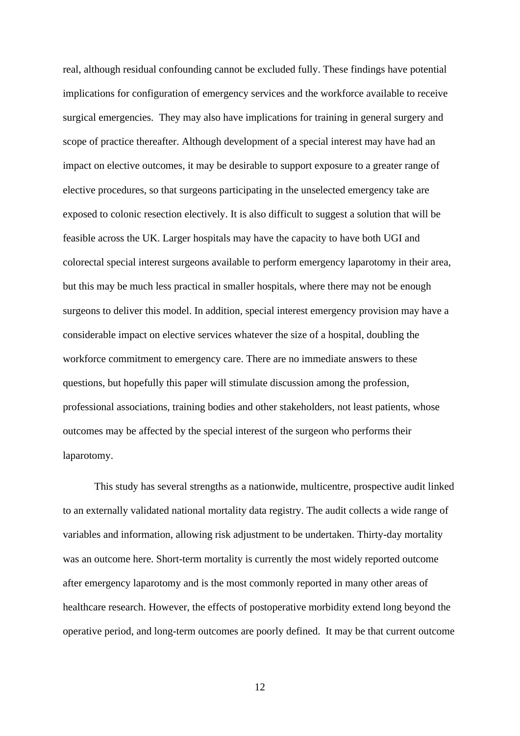real, although residual confounding cannot be excluded fully. These findings have potential implications for configuration of emergency services and the workforce available to receive surgical emergencies. They may also have implications for training in general surgery and scope of practice thereafter. Although development of a special interest may have had an impact on elective outcomes, it may be desirable to support exposure to a greater range of elective procedures, so that surgeons participating in the unselected emergency take are exposed to colonic resection electively. It is also difficult to suggest a solution that will be feasible across the UK. Larger hospitals may have the capacity to have both UGI and colorectal special interest surgeons available to perform emergency laparotomy in their area, but this may be much less practical in smaller hospitals, where there may not be enough surgeons to deliver this model. In addition, special interest emergency provision may have a considerable impact on elective services whatever the size of a hospital, doubling the workforce commitment to emergency care. There are no immediate answers to these questions, but hopefully this paper will stimulate discussion among the profession, professional associations, training bodies and other stakeholders, not least patients, whose outcomes may be affected by the special interest of the surgeon who performs their laparotomy.

This study has several strengths as a nationwide, multicentre, prospective audit linked to an externally validated national mortality data registry. The audit collects a wide range of variables and information, allowing risk adjustment to be undertaken. Thirty-day mortality was an outcome here. Short-term mortality is currently the most widely reported outcome after emergency laparotomy and is the most commonly reported in many other areas of healthcare research. However, the effects of postoperative morbidity extend long beyond the operative period, and long-term outcomes are poorly defined. It may be that current outcome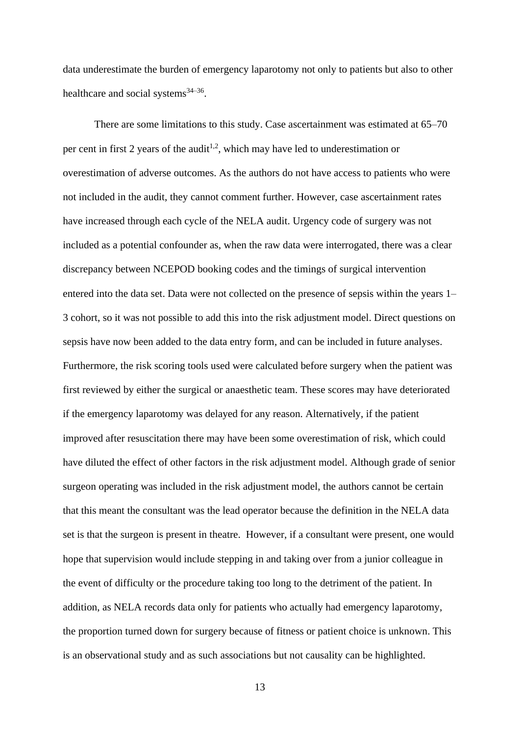data underestimate the burden of emergency laparotomy not only to patients but also to other healthcare and social systems $34-36$ .

 There are some limitations to this study. Case ascertainment was estimated at 65–70 per cent in first 2 years of the audit<sup>1,2</sup>, which may have led to underestimation or overestimation of adverse outcomes. As the authors do not have access to patients who were not included in the audit, they cannot comment further. However, case ascertainment rates have increased through each cycle of the NELA audit. Urgency code of surgery was not included as a potential confounder as, when the raw data were interrogated, there was a clear discrepancy between NCEPOD booking codes and the timings of surgical intervention entered into the data set. Data were not collected on the presence of sepsis within the years 1– 3 cohort, so it was not possible to add this into the risk adjustment model. Direct questions on sepsis have now been added to the data entry form, and can be included in future analyses. Furthermore, the risk scoring tools used were calculated before surgery when the patient was first reviewed by either the surgical or anaesthetic team. These scores may have deteriorated if the emergency laparotomy was delayed for any reason. Alternatively, if the patient improved after resuscitation there may have been some overestimation of risk, which could have diluted the effect of other factors in the risk adjustment model. Although grade of senior surgeon operating was included in the risk adjustment model, the authors cannot be certain that this meant the consultant was the lead operator because the definition in the NELA data set is that the surgeon is present in theatre. However, if a consultant were present, one would hope that supervision would include stepping in and taking over from a junior colleague in the event of difficulty or the procedure taking too long to the detriment of the patient. In addition, as NELA records data only for patients who actually had emergency laparotomy, the proportion turned down for surgery because of fitness or patient choice is unknown. This is an observational study and as such associations but not causality can be highlighted.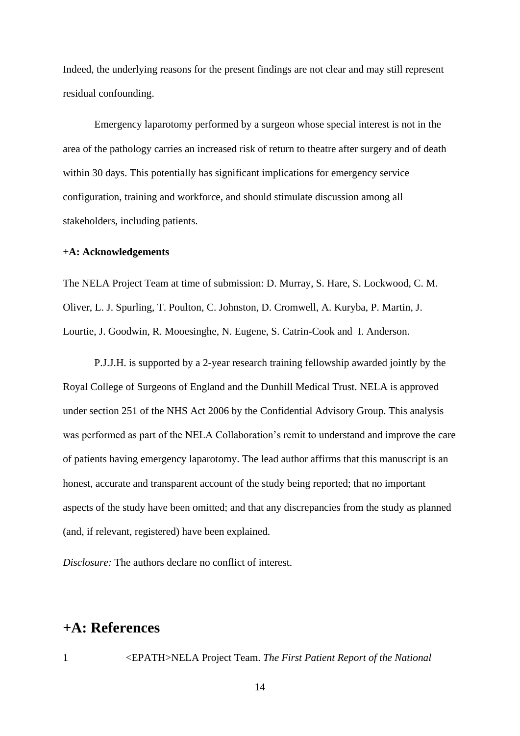Indeed, the underlying reasons for the present findings are not clear and may still represent residual confounding.

Emergency laparotomy performed by a surgeon whose special interest is not in the area of the pathology carries an increased risk of return to theatre after surgery and of death within 30 days. This potentially has significant implications for emergency service configuration, training and workforce, and should stimulate discussion among all stakeholders, including patients.

#### **+A: Acknowledgements**

The NELA Project Team at time of submission: D. Murray, S. Hare, S. Lockwood, C. M. Oliver, L. J. Spurling, T. Poulton, C. Johnston, D. Cromwell, A. Kuryba, P. Martin, J. Lourtie, J. Goodwin, R. Mooesinghe, N. Eugene, S. Catrin-Cook and I. Anderson.

P.J.J.H. is supported by a 2-year research training fellowship awarded jointly by the Royal College of Surgeons of England and the Dunhill Medical Trust. NELA is approved under section 251 of the NHS Act 2006 by the Confidential Advisory Group. This analysis was performed as part of the NELA Collaboration's remit to understand and improve the care of patients having emergency laparotomy. The lead author affirms that this manuscript is an honest, accurate and transparent account of the study being reported; that no important aspects of the study have been omitted; and that any discrepancies from the study as planned (and, if relevant, registered) have been explained.

*Disclosure:* The authors declare no conflict of interest.

# **+A: References**

1 <EPATH>NELA Project Team. *The First Patient Report of the National*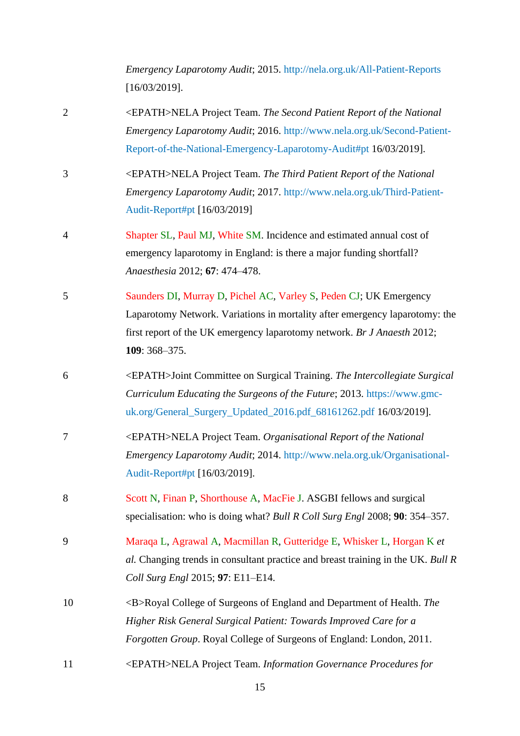*Emergency Laparotomy Audit*; 2015.<http://nela.org.uk/All-Patient-Reports> [16/03/2019].

- 2 <EPATH>NELA Project Team. *The Second Patient Report of the National Emergency Laparotomy Audit*; 2016. [http://www.nela.org.uk/Second-Patient-](http://www.nela.org.uk/Second-Patient-Report-of-the-National-Emergency-Laparotomy-Audit#pt)[Report-of-the-National-Emergency-Laparotomy-Audit#pt](http://www.nela.org.uk/Second-Patient-Report-of-the-National-Emergency-Laparotomy-Audit#pt) 16/03/2019].
- 3 <EPATH>NELA Project Team. *The Third Patient Report of the National Emergency Laparotomy Audit*; 2017. [http://www.nela.org.uk/Third-Patient-](http://www.nela.org.uk/Third-Patient-Audit-Report#pt)[Audit-Report#pt](http://www.nela.org.uk/Third-Patient-Audit-Report#pt) [16/03/2019]
- 4 Shapter SL, Paul MJ, White SM. Incidence and estimated annual cost of emergency laparotomy in England: is there a major funding shortfall? *Anaesthesia* 2012; **67**: 474–478.
- 5 Saunders DI, Murray D, Pichel AC, Varley S, Peden CJ; UK Emergency Laparotomy Network. Variations in mortality after emergency laparotomy: the first report of the UK emergency laparotomy network. *Br J Anaesth* 2012; **109**: 368–375.
- 6 <EPATH>Joint Committee on Surgical Training. *The Intercollegiate Surgical Curriculum Educating the Surgeons of the Future*; 2013. [https://www.gmc](https://www.gmc-uk.org/General_Surgery_Updated_2016.pdf_68161262.pdf)[uk.org/General\\_Surgery\\_Updated\\_2016.pdf\\_68161262.pdf](https://www.gmc-uk.org/General_Surgery_Updated_2016.pdf_68161262.pdf) 16/03/2019].
- 7 <EPATH>NELA Project Team. *Organisational Report of the National Emergency Laparotomy Audit*; 2014. [http://www.nela.org.uk/Organisational-](http://www.nela.org.uk/Organisational-Audit-Report#pt)[Audit-Report#pt](http://www.nela.org.uk/Organisational-Audit-Report#pt) [16/03/2019].
- 8 Scott N, Finan P, Shorthouse A, MacFie J. ASGBI fellows and surgical specialisation: who is doing what? *Bull R Coll Surg Engl* 2008; **90**: 354–357.
- 9 Maraqa L, Agrawal A, Macmillan R, Gutteridge E, Whisker L, Horgan K *et al.* Changing trends in consultant practice and breast training in the UK. *Bull R Coll Surg Engl* 2015; **97**: E11–E14.
- 10 <B>Royal College of Surgeons of England and Department of Health. *The Higher Risk General Surgical Patient: Towards Improved Care for a Forgotten Group*. Royal College of Surgeons of England: London, 2011.
- 11 <EPATH>NELA Project Team. *Information Governance Procedures for*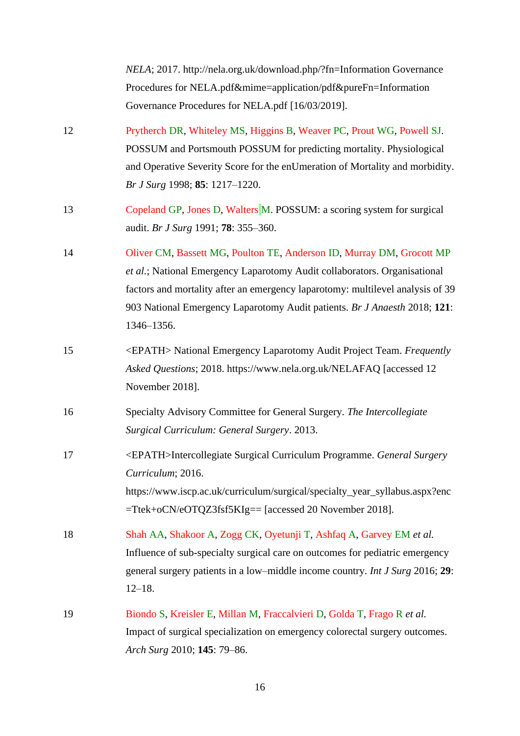*NELA*; 2017. http://nela.org.uk/download.php/?fn=Information Governance Procedures for NELA.pdf&mime=application/pdf&pureFn=Information Governance Procedures for NELA.pdf [16/03/2019].

- 12 Prytherch DR, Whiteley MS, Higgins B, Weaver PC, Prout WG, Powell SJ. POSSUM and Portsmouth POSSUM for predicting mortality. Physiological and Operative Severity Score for the enUmeration of Mortality and morbidity. *Br J Surg* 1998; **85**: 1217–1220.
- 13 Copeland GP, Jones D, Walters M. POSSUM: a scoring system for surgical audit. *Br J Surg* 1991; **78**: 355–360.
- 14 Oliver CM, Bassett MG, Poulton TE, Anderson ID, Murray DM, Grocott MP *et al.*; National Emergency Laparotomy Audit collaborators. Organisational factors and mortality after an emergency laparotomy: multilevel analysis of 39 903 National Emergency Laparotomy Audit patients. *Br J Anaesth* 2018; **121**: 1346–1356.
- 15 <EPATH> National Emergency Laparotomy Audit Project Team. *Frequently Asked Questions*; 2018. https://www.nela.org.uk/NELAFAQ [accessed 12 November 2018].
- 16 Specialty Advisory Committee for General Surgery. *The Intercollegiate Surgical Curriculum: General Surgery*. 2013.
- 17 <EPATH>Intercollegiate Surgical Curriculum Programme. *General Surgery Curriculum*; 2016. https://www.iscp.ac.uk/curriculum/surgical/specialty\_year\_syllabus.aspx?enc =Ttek+oCN/eOTQZ3fsf5KIg== [accessed 20 November 2018].
- 18 Shah AA, Shakoor A, Zogg CK, Oyetunji T, Ashfaq A, Garvey EM *et al.* Influence of sub-specialty surgical care on outcomes for pediatric emergency general surgery patients in a low–middle income country. *Int J Surg* 2016; **29**: 12–18.
- 19 Biondo S, Kreisler E, Millan M, Fraccalvieri D, Golda T, Frago R *et al.* Impact of surgical specialization on emergency colorectal surgery outcomes. *Arch Surg* 2010; **145**: 79–86.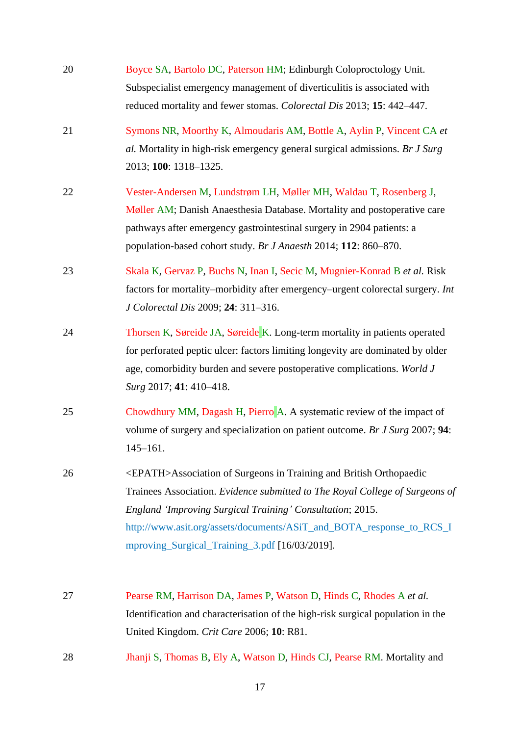| 20 | Boyce SA, Bartolo DC, Paterson HM; Edinburgh Coloproctology Unit.<br>Subspecialist emergency management of diverticulitis is associated with<br>reduced mortality and fewer stomas. Colorectal Dis 2013; 15: 442-447.                                                                                                                                 |
|----|-------------------------------------------------------------------------------------------------------------------------------------------------------------------------------------------------------------------------------------------------------------------------------------------------------------------------------------------------------|
| 21 | Symons NR, Moorthy K, Almoudaris AM, Bottle A, Aylin P, Vincent CA et<br>al. Mortality in high-risk emergency general surgical admissions. Br J Surg<br>2013; 100: 1318-1325.                                                                                                                                                                         |
| 22 | Vester-Andersen M, Lundstrøm LH, Møller MH, Waldau T, Rosenberg J,<br>Møller AM; Danish Anaesthesia Database. Mortality and postoperative care<br>pathways after emergency gastrointestinal surgery in 2904 patients: a<br>population-based cohort study. Br J Anaesth 2014; 112: 860-870.                                                            |
| 23 | Skala K, Gervaz P, Buchs N, Inan I, Secic M, Mugnier-Konrad B et al. Risk<br>factors for mortality–morbidity after emergency–urgent colorectal surgery. Int<br>J Colorectal Dis 2009; 24: 311-316.                                                                                                                                                    |
| 24 | Thorsen K, Søreide JA, Søreide K. Long-term mortality in patients operated<br>for perforated peptic ulcer: factors limiting longevity are dominated by older<br>age, comorbidity burden and severe postoperative complications. World J<br>Surg 2017; 41: 410-418.                                                                                    |
| 25 | Chowdhury MM, Dagash H, Pierro A. A systematic review of the impact of<br>volume of surgery and specialization on patient outcome. Br J Surg 2007; 94:<br>$145 - 161.$                                                                                                                                                                                |
| 26 | <epath>Association of Surgeons in Training and British Orthopaedic<br/>Trainees Association. Evidence submitted to The Royal College of Surgeons of<br/>England 'Improving Surgical Training' Consultation; 2015.<br/>http://www.asit.org/assets/documents/ASiT_and_BOTA_response_to_RCS_I<br/>mproving_Surgical_Training_3.pdf [16/03/2019].</epath> |
| 27 | Pearse RM, Harrison DA, James P, Watson D, Hinds C, Rhodes A et al.<br>Identification and characterisation of the high-risk surgical population in the<br>United Kingdom. Crit Care 2006; 10: R81.                                                                                                                                                    |
| 28 | Jhanji S, Thomas B, Ely A, Watson D, Hinds CJ, Pearse RM. Mortality and                                                                                                                                                                                                                                                                               |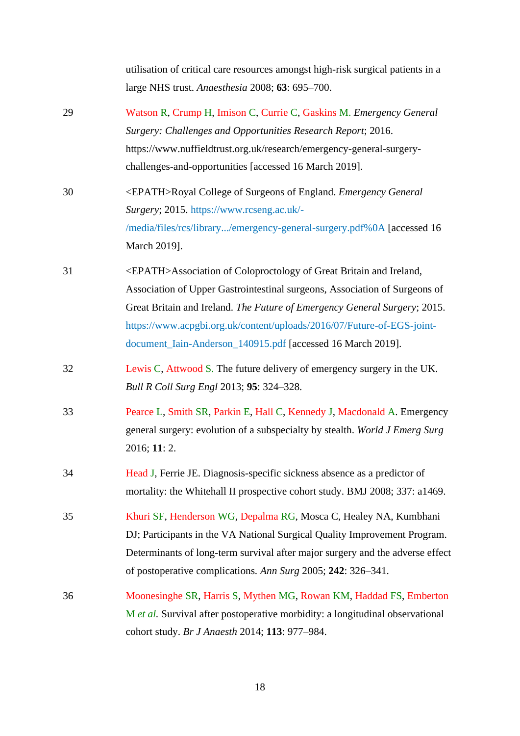|    | utilisation of critical care resources amongst high-risk surgical patients in a<br>large NHS trust. Anaesthesia 2008; 63: 695-700.                                                                                                                                                                                                                                                 |
|----|------------------------------------------------------------------------------------------------------------------------------------------------------------------------------------------------------------------------------------------------------------------------------------------------------------------------------------------------------------------------------------|
| 29 | Watson R, Crump H, Imison C, Currie C, Gaskins M. Emergency General<br>Surgery: Challenges and Opportunities Research Report; 2016.<br>https://www.nuffieldtrust.org.uk/research/emergency-general-surgery-<br>challenges-and-opportunities [accessed 16 March 2019].                                                                                                              |
| 30 | <epath>Royal College of Surgeons of England. Emergency General<br/>Surgery; 2015. https://www.rcseng.ac.uk/-<br/>/media/files/rcs/library/emergency-general-surgery.pdf%0A [accessed 16<br/>March 2019].</epath>                                                                                                                                                                   |
| 31 | <epath>Association of Coloproctology of Great Britain and Ireland,<br/>Association of Upper Gastrointestinal surgeons, Association of Surgeons of<br/>Great Britain and Ireland. The Future of Emergency General Surgery; 2015.<br/>https://www.acpgbi.org.uk/content/uploads/2016/07/Future-of-EGS-joint-<br/>document_Iain-Anderson_140915.pdf [accessed 16 March 2019].</epath> |
| 32 | Lewis C, Attwood S. The future delivery of emergency surgery in the UK.<br>Bull R Coll Surg Engl 2013; 95: 324-328.                                                                                                                                                                                                                                                                |
| 33 | Pearce L, Smith SR, Parkin E, Hall C, Kennedy J, Macdonald A. Emergency<br>general surgery: evolution of a subspecialty by stealth. World J Emerg Surg<br>2016; 11: 2.                                                                                                                                                                                                             |
| 34 | Head J, Ferrie JE. Diagnosis-specific sickness absence as a predictor of<br>mortality: the Whitehall II prospective cohort study. BMJ 2008; 337: a1469.                                                                                                                                                                                                                            |
| 35 | Khuri SF, Henderson WG, Depalma RG, Mosca C, Healey NA, Kumbhani<br>DJ; Participants in the VA National Surgical Quality Improvement Program.<br>Determinants of long-term survival after major surgery and the adverse effect<br>of postoperative complications. Ann Surg 2005; 242: 326–341.                                                                                     |
| 36 | Moonesinghe SR, Harris S, Mythen MG, Rowan KM, Haddad FS, Emberton<br>M et al. Survival after postoperative morbidity: a longitudinal observational<br>cohort study. Br J Anaesth 2014; 113: 977-984.                                                                                                                                                                              |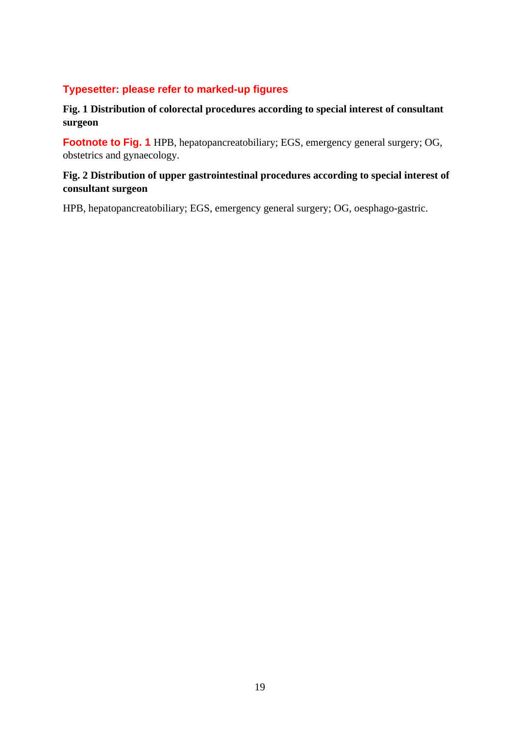## **Typesetter: please refer to marked-up figures**

### **Fig. 1 Distribution of colorectal procedures according to special interest of consultant surgeon**

**Footnote to Fig. 1** HPB, hepatopancreatobiliary; EGS, emergency general surgery; OG, obstetrics and gynaecology.

### **Fig. 2 Distribution of upper gastrointestinal procedures according to special interest of consultant surgeon**

HPB, hepatopancreatobiliary; EGS, emergency general surgery; OG, oesphago-gastric.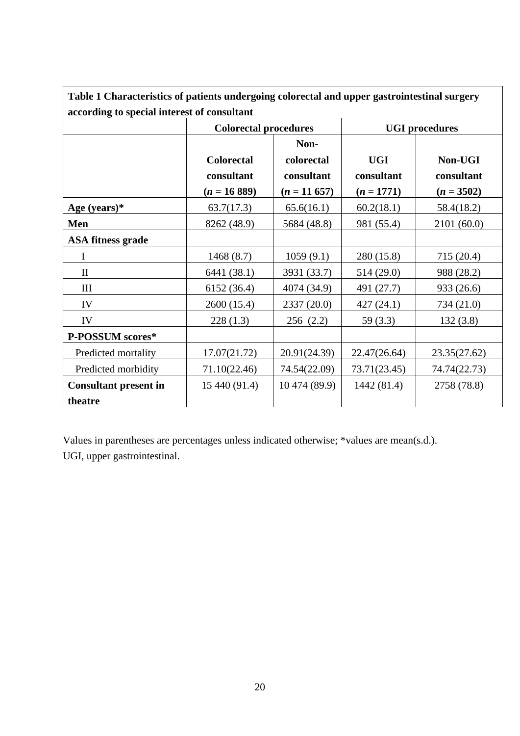| Table 1 Characteristics of patients undergoing colorectal and upper gastrointestinal surgery<br>according to special interest of consultant |                                                   |                                                   |                                          |                                       |  |
|---------------------------------------------------------------------------------------------------------------------------------------------|---------------------------------------------------|---------------------------------------------------|------------------------------------------|---------------------------------------|--|
|                                                                                                                                             | <b>Colorectal procedures</b>                      |                                                   | <b>UGI</b> procedures                    |                                       |  |
|                                                                                                                                             | <b>Colorectal</b><br>consultant<br>$(n = 16 889)$ | Non-<br>colorectal<br>consultant<br>$(n = 11657)$ | <b>UGI</b><br>consultant<br>$(n = 1771)$ | Non-UGI<br>consultant<br>$(n = 3502)$ |  |
| Age (years) $*$                                                                                                                             | 63.7(17.3)                                        | 65.6(16.1)                                        | 60.2(18.1)                               | 58.4(18.2)                            |  |
| Men                                                                                                                                         | 8262 (48.9)                                       | 5684 (48.8)                                       | 981 (55.4)                               | 2101 (60.0)                           |  |
| <b>ASA fitness grade</b>                                                                                                                    |                                                   |                                                   |                                          |                                       |  |
| I                                                                                                                                           | 1468(8.7)                                         | 1059(9.1)                                         | 280 (15.8)                               | 715 (20.4)                            |  |
| $\mathbf{I}$                                                                                                                                | 6441 (38.1)                                       | 3931 (33.7)                                       | 514 (29.0)                               | 988 (28.2)                            |  |
| III                                                                                                                                         | 6152 (36.4)                                       | 4074 (34.9)                                       | 491 (27.7)                               | 933 (26.6)                            |  |
| IV                                                                                                                                          | 2600 (15.4)                                       | 2337 (20.0)                                       | 427(24.1)                                | 734 (21.0)                            |  |
| IV                                                                                                                                          | 228(1.3)                                          | 256(2.2)                                          | 59(3.3)                                  | 132(3.8)                              |  |
| P-POSSUM scores*                                                                                                                            |                                                   |                                                   |                                          |                                       |  |
| Predicted mortality                                                                                                                         | 17.07(21.72)                                      | 20.91(24.39)                                      | 22.47(26.64)                             | 23.35(27.62)                          |  |
| Predicted morbidity                                                                                                                         | 71.10(22.46)                                      | 74.54(22.09)                                      | 73.71(23.45)                             | 74.74(22.73)                          |  |
| <b>Consultant present in</b><br>theatre                                                                                                     | 15 440 (91.4)                                     | 10 474 (89.9)                                     | 1442 (81.4)                              | 2758 (78.8)                           |  |

┑

Values in parentheses are percentages unless indicated otherwise; \*values are mean(s.d.). UGI, upper gastrointestinal.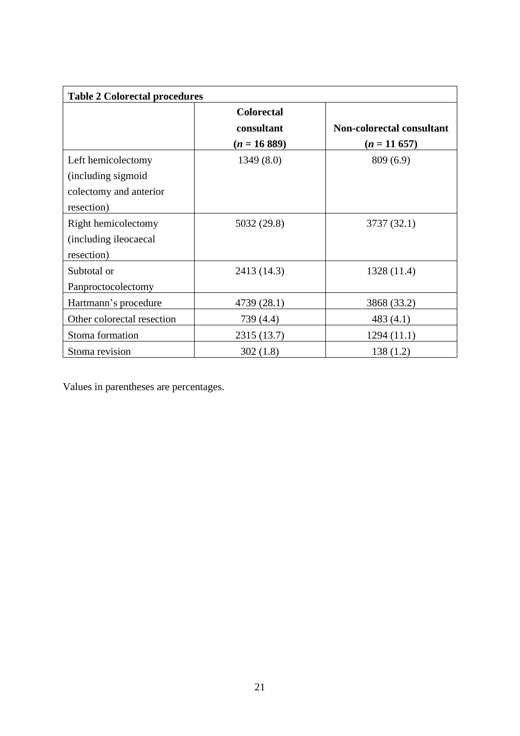| <b>Table 2 Colorectal procedures</b> |                                 |                                  |  |  |
|--------------------------------------|---------------------------------|----------------------------------|--|--|
|                                      | <b>Colorectal</b><br>consultant | <b>Non-colorectal consultant</b> |  |  |
|                                      | $(n = 16 889)$                  | $(n = 11657)$                    |  |  |
| Left hemicolectomy                   | 1349(8.0)                       | 809 (6.9)                        |  |  |
| (including sigmoid)                  |                                 |                                  |  |  |
| colectomy and anterior               |                                 |                                  |  |  |
| resection)                           |                                 |                                  |  |  |
| Right hemicolectomy                  | 5032 (29.8)                     | 3737 (32.1)                      |  |  |
| (including ileocaecal                |                                 |                                  |  |  |
| resection)                           |                                 |                                  |  |  |
| Subtotal or                          | 2413 (14.3)                     | 1328 (11.4)                      |  |  |
| Panproctocolectomy                   |                                 |                                  |  |  |
| Hartmann's procedure                 | 4739 (28.1)                     | 3868 (33.2)                      |  |  |
| Other colorectal resection           | 739 (4.4)                       | 483(4.1)                         |  |  |
| Stoma formation                      | 2315 (13.7)                     | 1294(11.1)                       |  |  |
| Stoma revision                       | 302(1.8)                        | 138(1.2)                         |  |  |

Values in parentheses are percentages.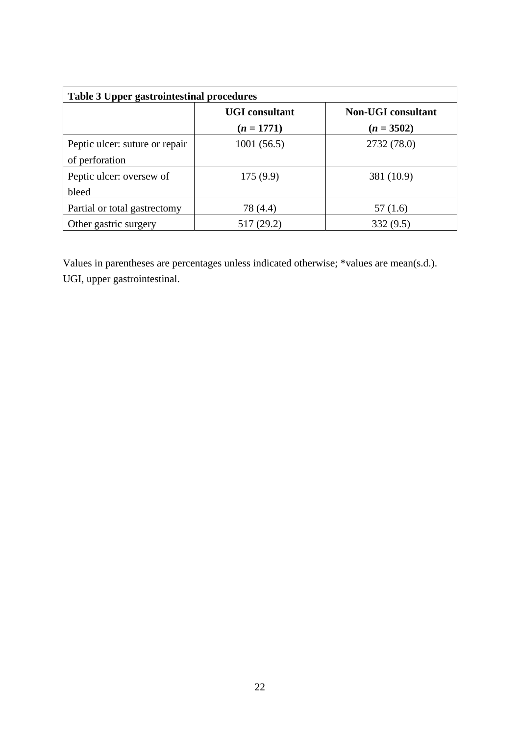| <b>Table 3 Upper gastrointestinal procedures</b> |                       |                           |  |  |
|--------------------------------------------------|-----------------------|---------------------------|--|--|
|                                                  | <b>UGI</b> consultant | <b>Non-UGI</b> consultant |  |  |
|                                                  | $(n = 1771)$          | $(n = 3502)$              |  |  |
| Peptic ulcer: suture or repair                   | 1001 (56.5)           | 2732 (78.0)               |  |  |
| of perforation                                   |                       |                           |  |  |
| Peptic ulcer: oversew of                         | 175(9.9)              | 381 (10.9)                |  |  |
| bleed                                            |                       |                           |  |  |
| Partial or total gastrectomy                     | 78 (4.4)              | 57(1.6)                   |  |  |
| Other gastric surgery                            | 517 (29.2)            | 332(9.5)                  |  |  |

Values in parentheses are percentages unless indicated otherwise; \*values are mean(s.d.). UGI, upper gastrointestinal.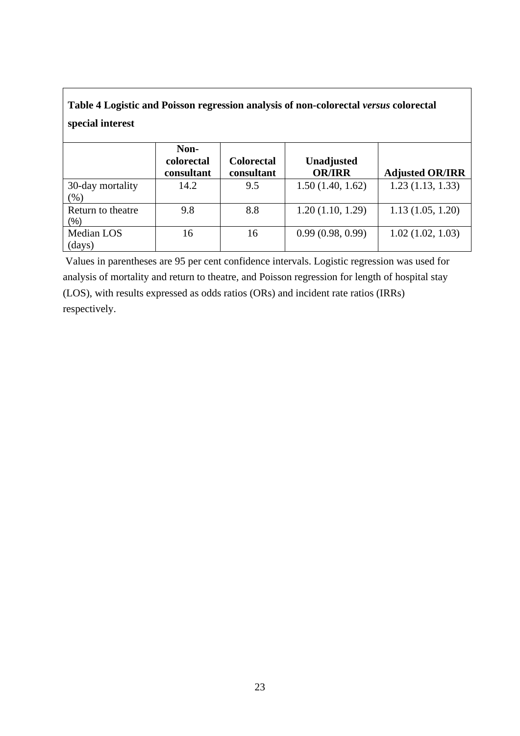# **Table 4 Logistic and Poisson regression analysis of non-colorectal** *versus* **colorectal special interest**

|                            | Non-<br>colorectal<br>consultant | <b>Colorectal</b><br>consultant | Unadjusted<br><b>OR/IRR</b> | <b>Adjusted OR/IRR</b> |
|----------------------------|----------------------------------|---------------------------------|-----------------------------|------------------------|
| 30-day mortality<br>$(\%)$ | 14.2                             | 9.5                             | 1.50(1.40, 1.62)            | 1.23(1.13, 1.33)       |
| Return to theatre<br>(%)   | 9.8                              | 8.8                             | 1.20(1.10, 1.29)            | 1.13(1.05, 1.20)       |
| Median LOS<br>(days)       | 16                               | 16                              | 0.99(0.98, 0.99)            | 1.02(1.02, 1.03)       |

Values in parentheses are 95 per cent confidence intervals. Logistic regression was used for analysis of mortality and return to theatre, and Poisson regression for length of hospital stay (LOS), with results expressed as odds ratios (ORs) and incident rate ratios (IRRs) respectively.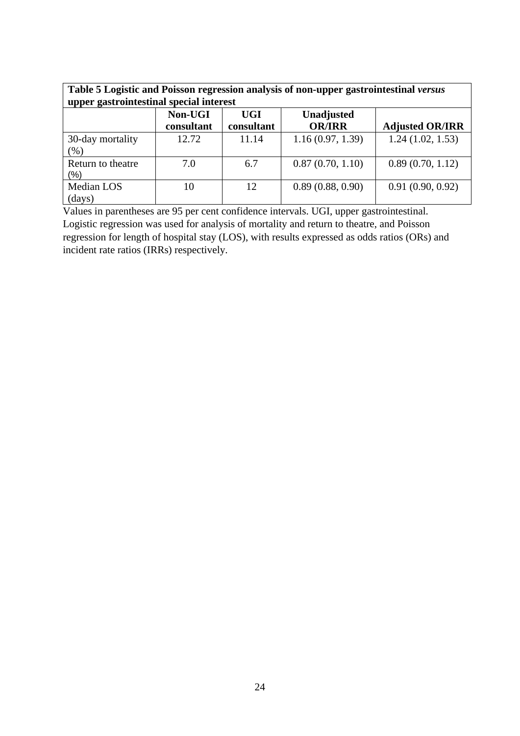| Table 5 Logistic and Poisson regression analysis of non-upper gastrointestinal versus<br>upper gastrointestinal special interest |                       |                          |                             |                        |
|----------------------------------------------------------------------------------------------------------------------------------|-----------------------|--------------------------|-----------------------------|------------------------|
|                                                                                                                                  | Non-UGI<br>consultant | <b>UGI</b><br>consultant | Unadjusted<br><b>OR/IRR</b> | <b>Adjusted OR/IRR</b> |
| 30-day mortality<br>$(\% )$                                                                                                      | 12.72                 | 11.14                    | 1.16(0.97, 1.39)            | 1.24(1.02, 1.53)       |
| Return to theatre<br>(%)                                                                                                         | 7.0                   | 6.7                      | 0.87(0.70, 1.10)            | 0.89(0.70, 1.12)       |
| Median LOS<br>$\frac{days}{9}$                                                                                                   | 10                    | 12                       | 0.89(0.88, 0.90)            | 0.91(0.90, 0.92)       |

Values in parentheses are 95 per cent confidence intervals. UGI, upper gastrointestinal. Logistic regression was used for analysis of mortality and return to theatre, and Poisson regression for length of hospital stay (LOS), with results expressed as odds ratios (ORs) and incident rate ratios (IRRs) respectively.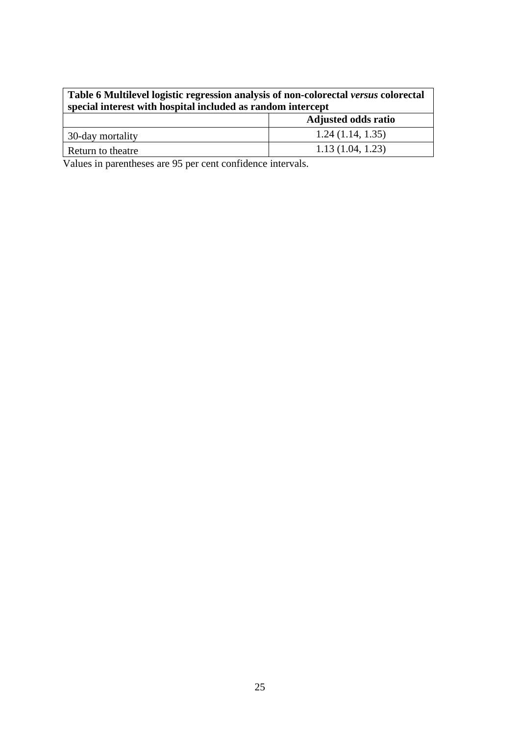| Table 6 Multilevel logistic regression analysis of non-colorectal versus colorectal<br>special interest with hospital included as random intercept |                            |  |
|----------------------------------------------------------------------------------------------------------------------------------------------------|----------------------------|--|
|                                                                                                                                                    | <b>Adjusted odds ratio</b> |  |
| 30-day mortality                                                                                                                                   | 1.24(1.14, 1.35)           |  |
| Return to theatre                                                                                                                                  | 1.13(1.04, 1.23)           |  |

Values in parentheses are 95 per cent confidence intervals.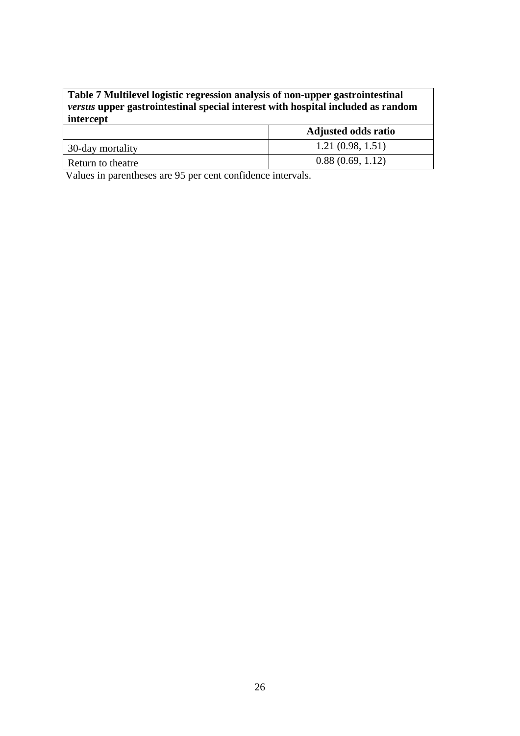| Table 7 Multilevel logistic regression analysis of non-upper gastrointestinal          |
|----------------------------------------------------------------------------------------|
| <i>versus</i> upper gastrointestinal special interest with hospital included as random |
| intercept                                                                              |

|                   | <b>Adjusted odds ratio</b> |
|-------------------|----------------------------|
| 30-day mortality  | 1.21(0.98, 1.51)           |
| Return to theatre | 0.88(0.69, 1.12)           |

Values in parentheses are 95 per cent confidence intervals.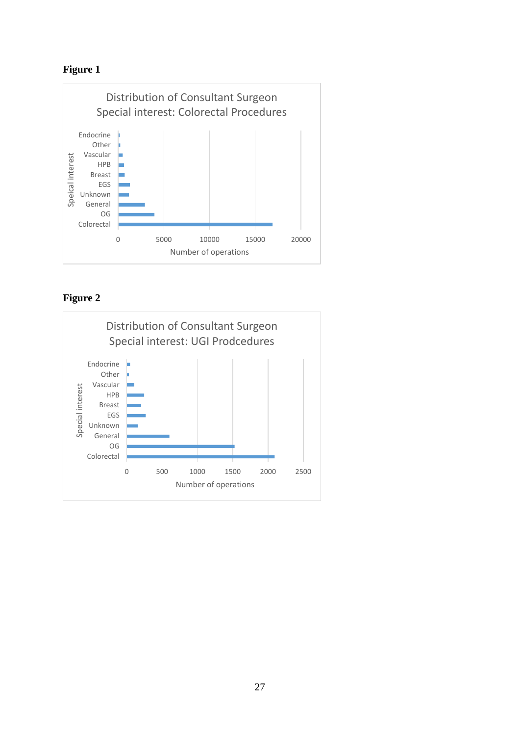# **Figure 1**



# **Figure 2**